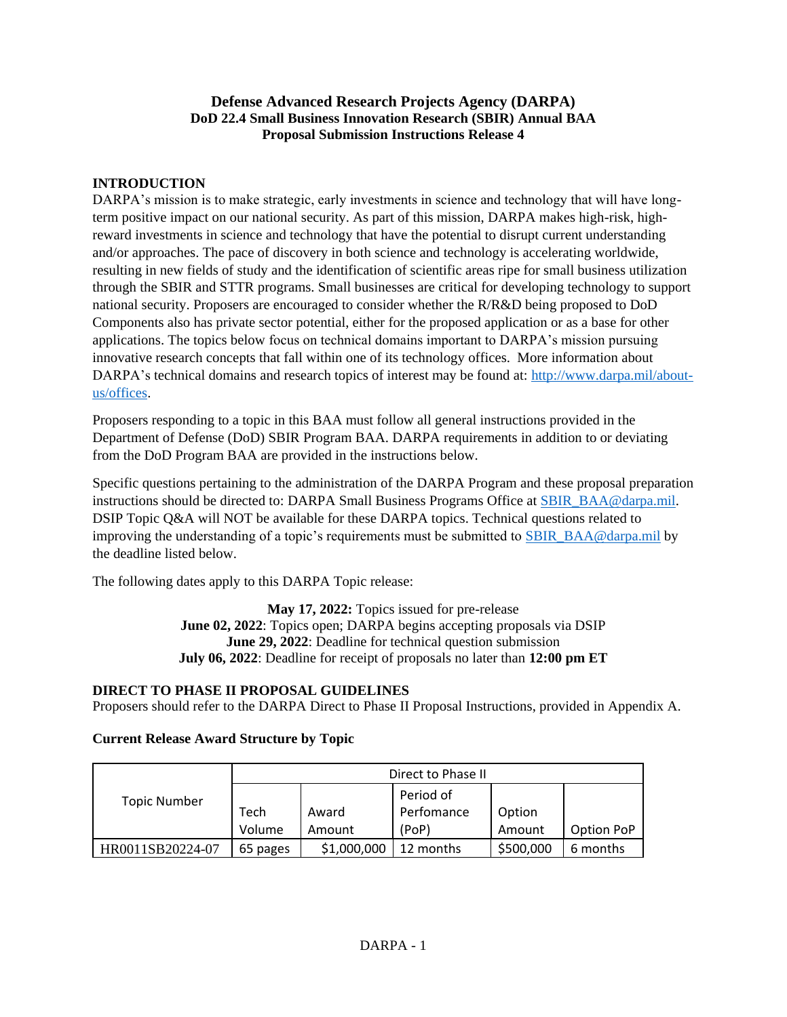## **Defense Advanced Research Projects Agency (DARPA) DoD 22.4 Small Business Innovation Research (SBIR) Annual BAA Proposal Submission Instructions Release 4**

## **INTRODUCTION**

DARPA's mission is to make strategic, early investments in science and technology that will have longterm positive impact on our national security. As part of this mission, DARPA makes high-risk, highreward investments in science and technology that have the potential to disrupt current understanding and/or approaches. The pace of discovery in both science and technology is accelerating worldwide, resulting in new fields of study and the identification of scientific areas ripe for small business utilization through the SBIR and STTR programs. Small businesses are critical for developing technology to support national security. Proposers are encouraged to consider whether the R/R&D being proposed to DoD Components also has private sector potential, either for the proposed application or as a base for other applications. The topics below focus on technical domains important to DARPA's mission pursuing innovative research concepts that fall within one of its technology offices. More information about DARPA's technical domains and research topics of interest may be found at: [http://www.darpa.mil/about](http://www.darpa.mil/about-us/offices)[us/offices.](http://www.darpa.mil/about-us/offices)

Proposers responding to a topic in this BAA must follow all general instructions provided in the Department of Defense (DoD) SBIR Program BAA. DARPA requirements in addition to or deviating from the DoD Program BAA are provided in the instructions below.

Specific questions pertaining to the administration of the DARPA Program and these proposal preparation instructions should be directed to: DARPA Small Business Programs Office at [SBIR\\_BAA@darpa.mil.](mailto:SBIR_BAA@darpa.mil) DSIP Topic Q&A will NOT be available for these DARPA topics. Technical questions related to improving the understanding of a topic's requirements must be submitted to [SBIR\\_BAA@darpa.mil](mailto:SBIR_BAA@darpa.mil) by the deadline listed below.

The following dates apply to this DARPA Topic release:

**May 17, 2022:** Topics issued for pre-release **June 02, 2022**: Topics open; DARPA begins accepting proposals via DSIP **June 29, 2022**: Deadline for technical question submission **July 06, 2022**: Deadline for receipt of proposals no later than **12:00 pm ET**

## **DIRECT TO PHASE II PROPOSAL GUIDELINES**

Proposers should refer to the DARPA Direct to Phase II Proposal Instructions, provided in Appendix A.

| <b>Topic Number</b> | Direct to Phase II |             |            |           |            |
|---------------------|--------------------|-------------|------------|-----------|------------|
|                     |                    |             | Period of  |           |            |
|                     | Tech               | Award       | Perfomance | Option    |            |
|                     | Volume             | Amount      | (PoP)      | Amount    | Option PoP |
| HR0011SB20224-07    | 65 pages           | \$1,000,000 | 12 months  | \$500,000 | 6 months   |

## **Current Release Award Structure by Topic**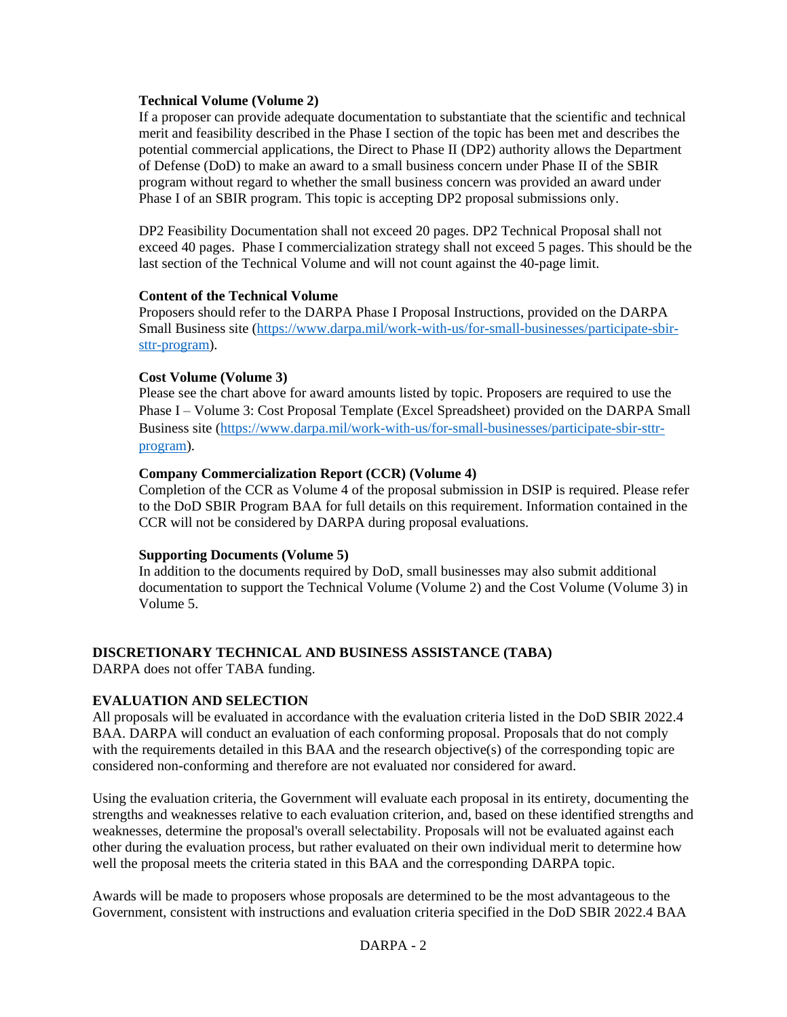### **Technical Volume (Volume 2)**

If a proposer can provide adequate documentation to substantiate that the scientific and technical merit and feasibility described in the Phase I section of the topic has been met and describes the potential commercial applications, the Direct to Phase II (DP2) authority allows the Department of Defense (DoD) to make an award to a small business concern under Phase II of the SBIR program without regard to whether the small business concern was provided an award under Phase I of an SBIR program. This topic is accepting DP2 proposal submissions only.

DP2 Feasibility Documentation shall not exceed 20 pages. DP2 Technical Proposal shall not exceed 40 pages. Phase I commercialization strategy shall not exceed 5 pages. This should be the last section of the Technical Volume and will not count against the 40-page limit.

#### **Content of the Technical Volume**

Proposers should refer to the DARPA Phase I Proposal Instructions, provided on the DARPA Small Business site [\(https://www.darpa.mil/work-with-us/for-small-businesses/participate-sbir](https://www.darpa.mil/work-with-us/for-small-businesses/participate-sbir-sttr-program)[sttr-program\)](https://www.darpa.mil/work-with-us/for-small-businesses/participate-sbir-sttr-program).

#### **Cost Volume (Volume 3)**

Please see the chart above for award amounts listed by topic. Proposers are required to use the Phase I – Volume 3: Cost Proposal Template (Excel Spreadsheet) provided on the DARPA Small Business site [\(https://www.darpa.mil/work-with-us/for-small-businesses/participate-sbir-sttr](https://www.darpa.mil/work-with-us/for-small-businesses/participate-sbir-sttr-program)[program\)](https://www.darpa.mil/work-with-us/for-small-businesses/participate-sbir-sttr-program).

### **Company Commercialization Report (CCR) (Volume 4)**

Completion of the CCR as Volume 4 of the proposal submission in DSIP is required. Please refer to the DoD SBIR Program BAA for full details on this requirement. Information contained in the CCR will not be considered by DARPA during proposal evaluations.

#### **Supporting Documents (Volume 5)**

In addition to the documents required by DoD, small businesses may also submit additional documentation to support the Technical Volume (Volume 2) and the Cost Volume (Volume 3) in Volume 5.

### **DISCRETIONARY TECHNICAL AND BUSINESS ASSISTANCE (TABA)**

DARPA does not offer TABA funding.

### **EVALUATION AND SELECTION**

All proposals will be evaluated in accordance with the evaluation criteria listed in the DoD SBIR 2022.4 BAA. DARPA will conduct an evaluation of each conforming proposal. Proposals that do not comply with the requirements detailed in this BAA and the research objective(s) of the corresponding topic are considered non-conforming and therefore are not evaluated nor considered for award.

Using the evaluation criteria, the Government will evaluate each proposal in its entirety, documenting the strengths and weaknesses relative to each evaluation criterion, and, based on these identified strengths and weaknesses, determine the proposal's overall selectability. Proposals will not be evaluated against each other during the evaluation process, but rather evaluated on their own individual merit to determine how well the proposal meets the criteria stated in this BAA and the corresponding DARPA topic.

Awards will be made to proposers whose proposals are determined to be the most advantageous to the Government, consistent with instructions and evaluation criteria specified in the DoD SBIR 2022.4 BAA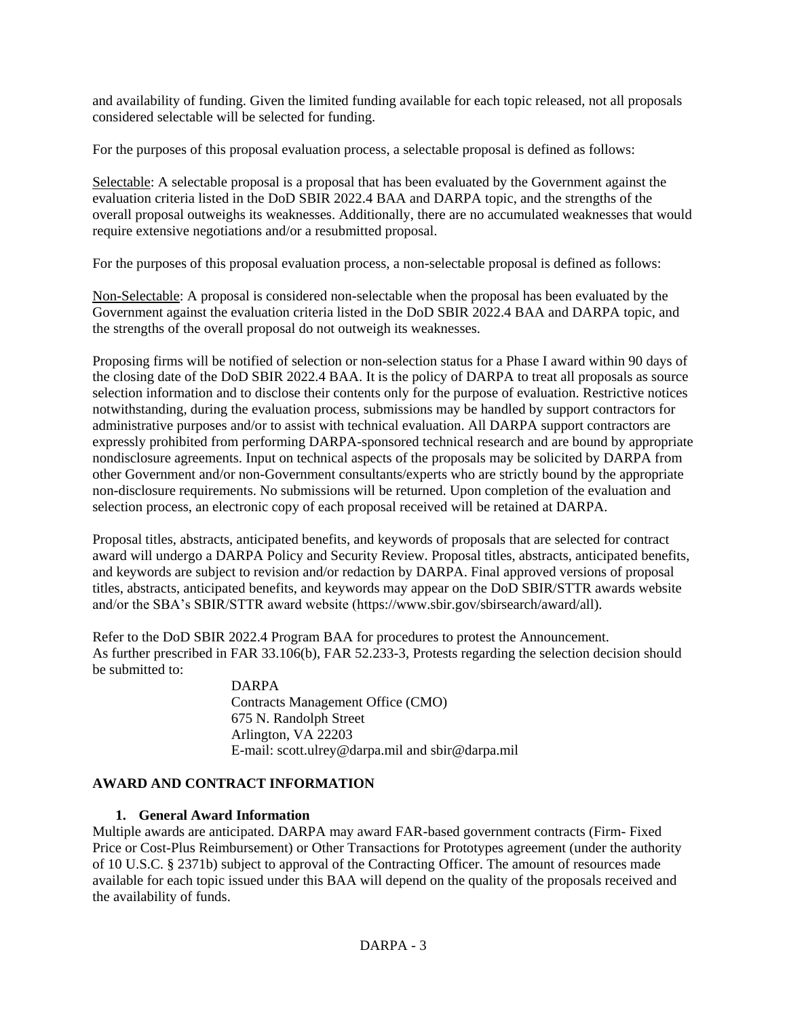and availability of funding. Given the limited funding available for each topic released, not all proposals considered selectable will be selected for funding.

For the purposes of this proposal evaluation process, a selectable proposal is defined as follows:

Selectable: A selectable proposal is a proposal that has been evaluated by the Government against the evaluation criteria listed in the DoD SBIR 2022.4 BAA and DARPA topic, and the strengths of the overall proposal outweighs its weaknesses. Additionally, there are no accumulated weaknesses that would require extensive negotiations and/or a resubmitted proposal.

For the purposes of this proposal evaluation process, a non-selectable proposal is defined as follows:

Non-Selectable: A proposal is considered non-selectable when the proposal has been evaluated by the Government against the evaluation criteria listed in the DoD SBIR 2022.4 BAA and DARPA topic, and the strengths of the overall proposal do not outweigh its weaknesses.

Proposing firms will be notified of selection or non-selection status for a Phase I award within 90 days of the closing date of the DoD SBIR 2022.4 BAA. It is the policy of DARPA to treat all proposals as source selection information and to disclose their contents only for the purpose of evaluation. Restrictive notices notwithstanding, during the evaluation process, submissions may be handled by support contractors for administrative purposes and/or to assist with technical evaluation. All DARPA support contractors are expressly prohibited from performing DARPA-sponsored technical research and are bound by appropriate nondisclosure agreements. Input on technical aspects of the proposals may be solicited by DARPA from other Government and/or non-Government consultants/experts who are strictly bound by the appropriate non-disclosure requirements. No submissions will be returned. Upon completion of the evaluation and selection process, an electronic copy of each proposal received will be retained at DARPA.

Proposal titles, abstracts, anticipated benefits, and keywords of proposals that are selected for contract award will undergo a DARPA Policy and Security Review. Proposal titles, abstracts, anticipated benefits, and keywords are subject to revision and/or redaction by DARPA. Final approved versions of proposal titles, abstracts, anticipated benefits, and keywords may appear on the DoD SBIR/STTR awards website and/or the SBA's SBIR/STTR award website (https://www.sbir.gov/sbirsearch/award/all).

Refer to the DoD SBIR 2022.4 Program BAA for procedures to protest the Announcement. As further prescribed in FAR 33.106(b), FAR 52.233-3, Protests regarding the selection decision should be submitted to:

DARPA Contracts Management Office (CMO) 675 N. Randolph Street Arlington, VA 22203 E-mail: scott.ulrey@darpa.mil and sbir@darpa.mil

## **AWARD AND CONTRACT INFORMATION**

## **1. General Award Information**

Multiple awards are anticipated. DARPA may award FAR-based government contracts (Firm- Fixed Price or Cost-Plus Reimbursement) or Other Transactions for Prototypes agreement (under the authority of 10 U.S.C. § 2371b) subject to approval of the Contracting Officer. The amount of resources made available for each topic issued under this BAA will depend on the quality of the proposals received and the availability of funds.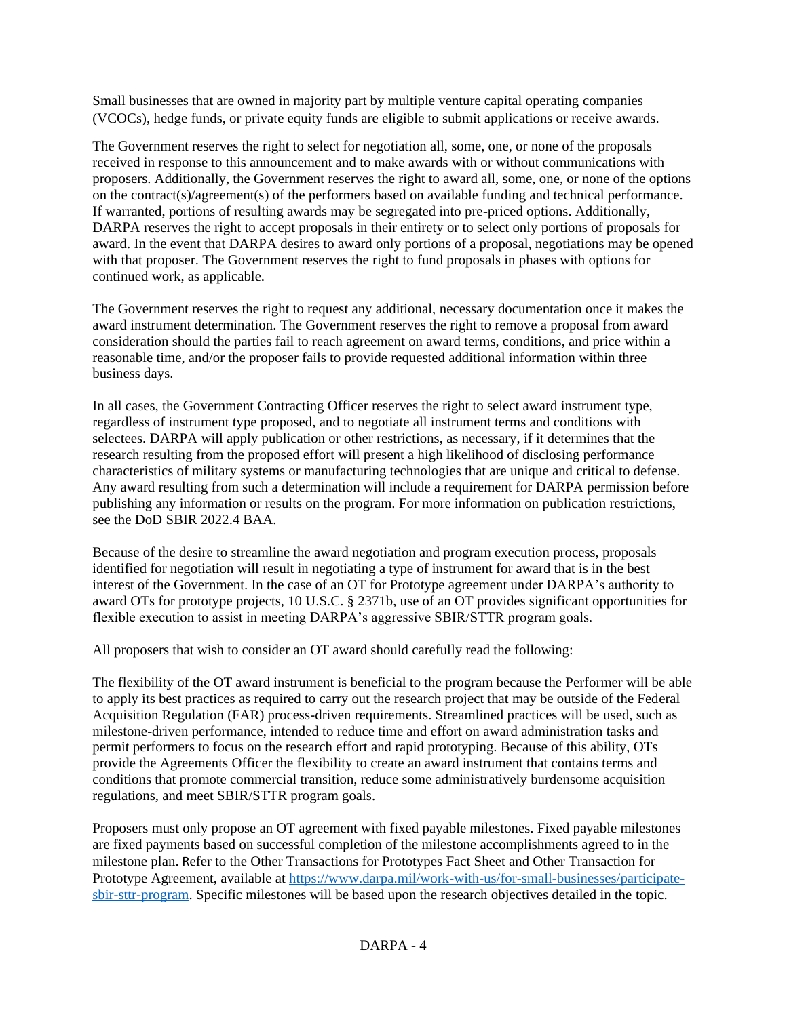Small businesses that are owned in majority part by multiple venture capital operating companies (VCOCs), hedge funds, or private equity funds are eligible to submit applications or receive awards.

The Government reserves the right to select for negotiation all, some, one, or none of the proposals received in response to this announcement and to make awards with or without communications with proposers. Additionally, the Government reserves the right to award all, some, one, or none of the options on the contract(s)/agreement(s) of the performers based on available funding and technical performance. If warranted, portions of resulting awards may be segregated into pre-priced options. Additionally, DARPA reserves the right to accept proposals in their entirety or to select only portions of proposals for award. In the event that DARPA desires to award only portions of a proposal, negotiations may be opened with that proposer. The Government reserves the right to fund proposals in phases with options for continued work, as applicable.

The Government reserves the right to request any additional, necessary documentation once it makes the award instrument determination. The Government reserves the right to remove a proposal from award consideration should the parties fail to reach agreement on award terms, conditions, and price within a reasonable time, and/or the proposer fails to provide requested additional information within three business days.

In all cases, the Government Contracting Officer reserves the right to select award instrument type, regardless of instrument type proposed, and to negotiate all instrument terms and conditions with selectees. DARPA will apply publication or other restrictions, as necessary, if it determines that the research resulting from the proposed effort will present a high likelihood of disclosing performance characteristics of military systems or manufacturing technologies that are unique and critical to defense. Any award resulting from such a determination will include a requirement for DARPA permission before publishing any information or results on the program. For more information on publication restrictions, see the DoD SBIR 2022.4 BAA.

Because of the desire to streamline the award negotiation and program execution process, proposals identified for negotiation will result in negotiating a type of instrument for award that is in the best interest of the Government. In the case of an OT for Prototype agreement under DARPA's authority to award OTs for prototype projects, 10 U.S.C. § 2371b, use of an OT provides significant opportunities for flexible execution to assist in meeting DARPA's aggressive SBIR/STTR program goals.

All proposers that wish to consider an OT award should carefully read the following:

The flexibility of the OT award instrument is beneficial to the program because the Performer will be able to apply its best practices as required to carry out the research project that may be outside of the Federal Acquisition Regulation (FAR) process-driven requirements. Streamlined practices will be used, such as milestone-driven performance, intended to reduce time and effort on award administration tasks and permit performers to focus on the research effort and rapid prototyping. Because of this ability, OTs provide the Agreements Officer the flexibility to create an award instrument that contains terms and conditions that promote commercial transition, reduce some administratively burdensome acquisition regulations, and meet SBIR/STTR program goals.

Proposers must only propose an OT agreement with fixed payable milestones. Fixed payable milestones are fixed payments based on successful completion of the milestone accomplishments agreed to in the milestone plan. Refer to the Other Transactions for Prototypes Fact Sheet and Other Transaction for Prototype Agreement, available at [https://www.darpa.mil/work-with-us/for-small-businesses/participate](https://www.darpa.mil/work-with-us/for-small-businesses/participate-sbir-sttr-program)[sbir-sttr-program.](https://www.darpa.mil/work-with-us/for-small-businesses/participate-sbir-sttr-program) Specific milestones will be based upon the research objectives detailed in the topic.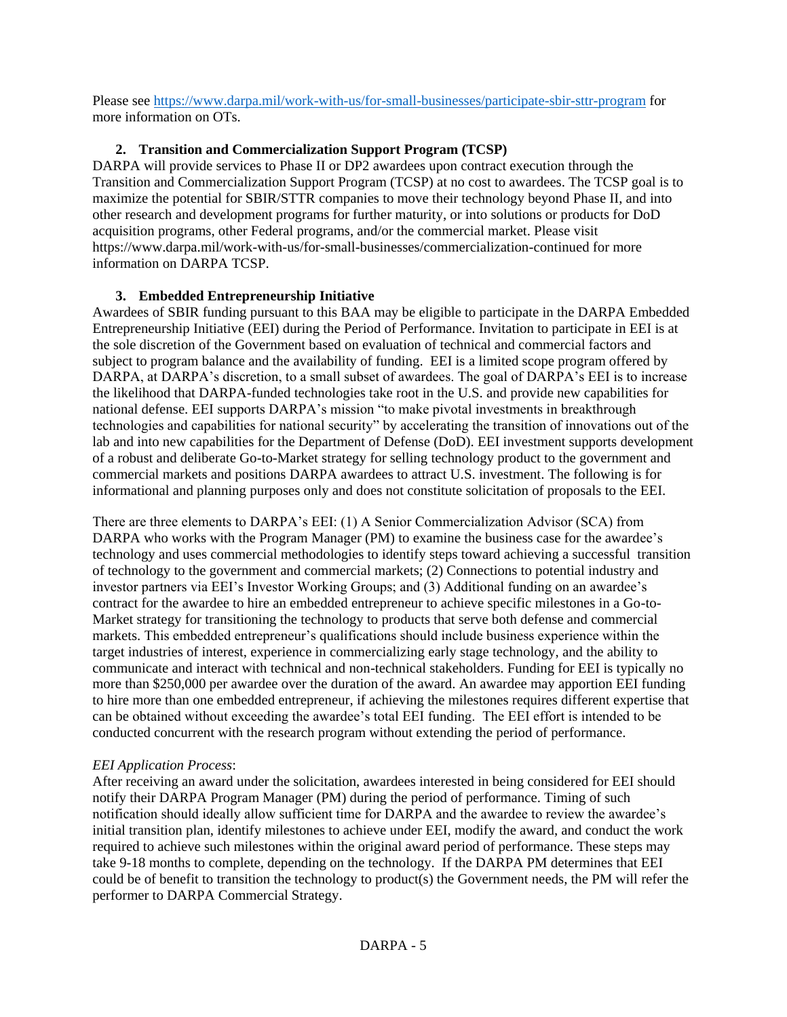Please see<https://www.darpa.mil/work-with-us/for-small-businesses/participate-sbir-sttr-program> for more information on OTs.

## **2. Transition and Commercialization Support Program (TCSP)**

DARPA will provide services to Phase II or DP2 awardees upon contract execution through the Transition and Commercialization Support Program (TCSP) at no cost to awardees. The TCSP goal is to maximize the potential for SBIR/STTR companies to move their technology beyond Phase II, and into other research and development programs for further maturity, or into solutions or products for DoD acquisition programs, other Federal programs, and/or the commercial market. Please visit https://www.darpa.mil/work-with-us/for-small-businesses/commercialization-continued for more information on DARPA TCSP.

## **3. Embedded Entrepreneurship Initiative**

Awardees of SBIR funding pursuant to this BAA may be eligible to participate in the DARPA Embedded Entrepreneurship Initiative (EEI) during the Period of Performance. Invitation to participate in EEI is at the sole discretion of the Government based on evaluation of technical and commercial factors and subject to program balance and the availability of funding. EEI is a limited scope program offered by DARPA, at DARPA's discretion, to a small subset of awardees. The goal of DARPA's EEI is to increase the likelihood that DARPA-funded technologies take root in the U.S. and provide new capabilities for national defense. EEI supports DARPA's mission "to make pivotal investments in breakthrough technologies and capabilities for national security" by accelerating the transition of innovations out of the lab and into new capabilities for the Department of Defense (DoD). EEI investment supports development of a robust and deliberate Go-to-Market strategy for selling technology product to the government and commercial markets and positions DARPA awardees to attract U.S. investment. The following is for informational and planning purposes only and does not constitute solicitation of proposals to the EEI.

There are three elements to DARPA's EEI: (1) A Senior Commercialization Advisor (SCA) from DARPA who works with the Program Manager (PM) to examine the business case for the awardee's technology and uses commercial methodologies to identify steps toward achieving a successful transition of technology to the government and commercial markets; (2) Connections to potential industry and investor partners via EEI's Investor Working Groups; and (3) Additional funding on an awardee's contract for the awardee to hire an embedded entrepreneur to achieve specific milestones in a Go-to-Market strategy for transitioning the technology to products that serve both defense and commercial markets. This embedded entrepreneur's qualifications should include business experience within the target industries of interest, experience in commercializing early stage technology, and the ability to communicate and interact with technical and non-technical stakeholders. Funding for EEI is typically no more than \$250,000 per awardee over the duration of the award. An awardee may apportion EEI funding to hire more than one embedded entrepreneur, if achieving the milestones requires different expertise that can be obtained without exceeding the awardee's total EEI funding. The EEI effort is intended to be conducted concurrent with the research program without extending the period of performance.

# *EEI Application Process*:

After receiving an award under the solicitation, awardees interested in being considered for EEI should notify their DARPA Program Manager (PM) during the period of performance. Timing of such notification should ideally allow sufficient time for DARPA and the awardee to review the awardee's initial transition plan, identify milestones to achieve under EEI, modify the award, and conduct the work required to achieve such milestones within the original award period of performance. These steps may take 9-18 months to complete, depending on the technology. If the DARPA PM determines that EEI could be of benefit to transition the technology to product(s) the Government needs, the PM will refer the performer to DARPA Commercial Strategy.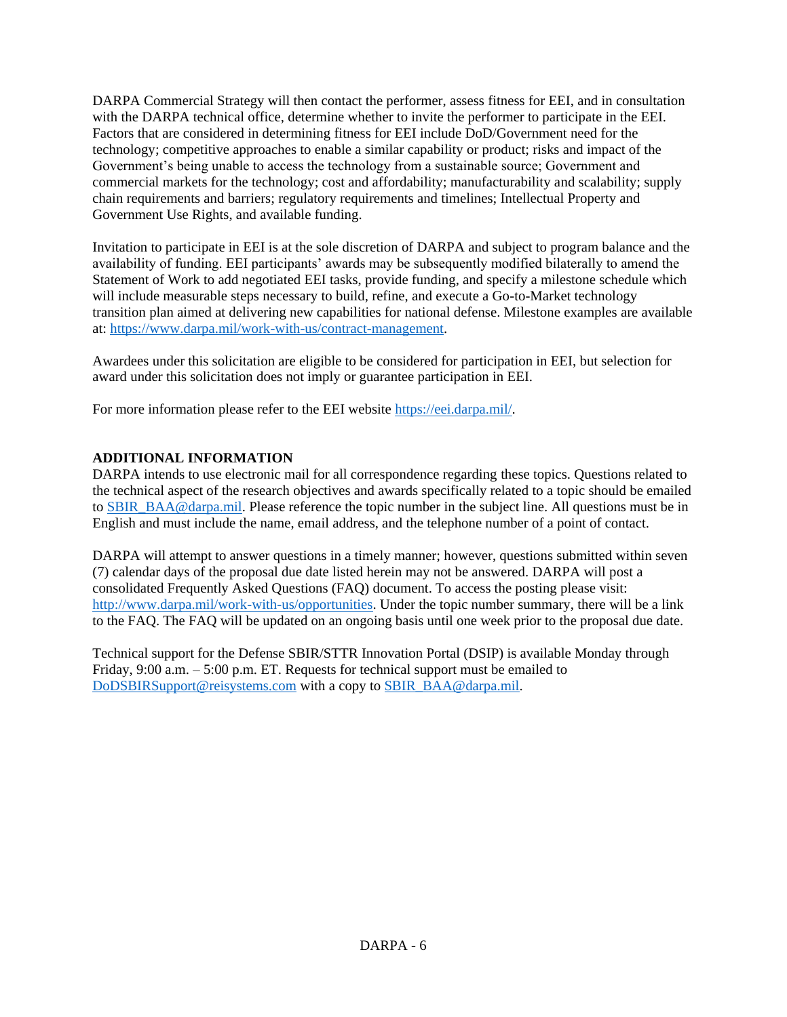DARPA Commercial Strategy will then contact the performer, assess fitness for EEI, and in consultation with the DARPA technical office, determine whether to invite the performer to participate in the EEI. Factors that are considered in determining fitness for EEI include DoD/Government need for the technology; competitive approaches to enable a similar capability or product; risks and impact of the Government's being unable to access the technology from a sustainable source; Government and commercial markets for the technology; cost and affordability; manufacturability and scalability; supply chain requirements and barriers; regulatory requirements and timelines; Intellectual Property and Government Use Rights, and available funding.

Invitation to participate in EEI is at the sole discretion of DARPA and subject to program balance and the availability of funding. EEI participants' awards may be subsequently modified bilaterally to amend the Statement of Work to add negotiated EEI tasks, provide funding, and specify a milestone schedule which will include measurable steps necessary to build, refine, and execute a Go-to-Market technology transition plan aimed at delivering new capabilities for national defense. Milestone examples are available at: [https://www.darpa.mil/work-with-us/contract-management.](https://www.darpa.mil/work-with-us/contract-management)

Awardees under this solicitation are eligible to be considered for participation in EEI, but selection for award under this solicitation does not imply or guarantee participation in EEI.

For more information please refer to the EEI website [https://eei.darpa.mil/.](https://eei.darpa.mil/)

## **ADDITIONAL INFORMATION**

DARPA intends to use electronic mail for all correspondence regarding these topics. Questions related to the technical aspect of the research objectives and awards specifically related to a topic should be emailed to [SBIR\\_BAA@darpa.mil.](mailto:SBIR_BAA@darpa.mil) Please reference the topic number in the subject line. All questions must be in English and must include the name, email address, and the telephone number of a point of contact.

DARPA will attempt to answer questions in a timely manner; however, questions submitted within seven (7) calendar days of the proposal due date listed herein may not be answered. DARPA will post a consolidated Frequently Asked Questions (FAQ) document. To access the posting please visit: [http://www.darpa.mil/work-with-us/opportunities.](http://www.darpa.mil/work-with-us/opportunities) Under the topic number summary, there will be a link to the FAQ. The FAQ will be updated on an ongoing basis until one week prior to the proposal due date.

Technical support for the Defense SBIR/STTR Innovation Portal (DSIP) is available Monday through Friday, 9:00 a.m. – 5:00 p.m. ET. Requests for technical support must be emailed to [DoDSBIRSupport@reisystems.com](mailto:DoDSBIRSupport@reisystems.com) with a copy to [SBIR\\_BAA@darpa.mil.](mailto:SBIR_BAA@darpa.mil)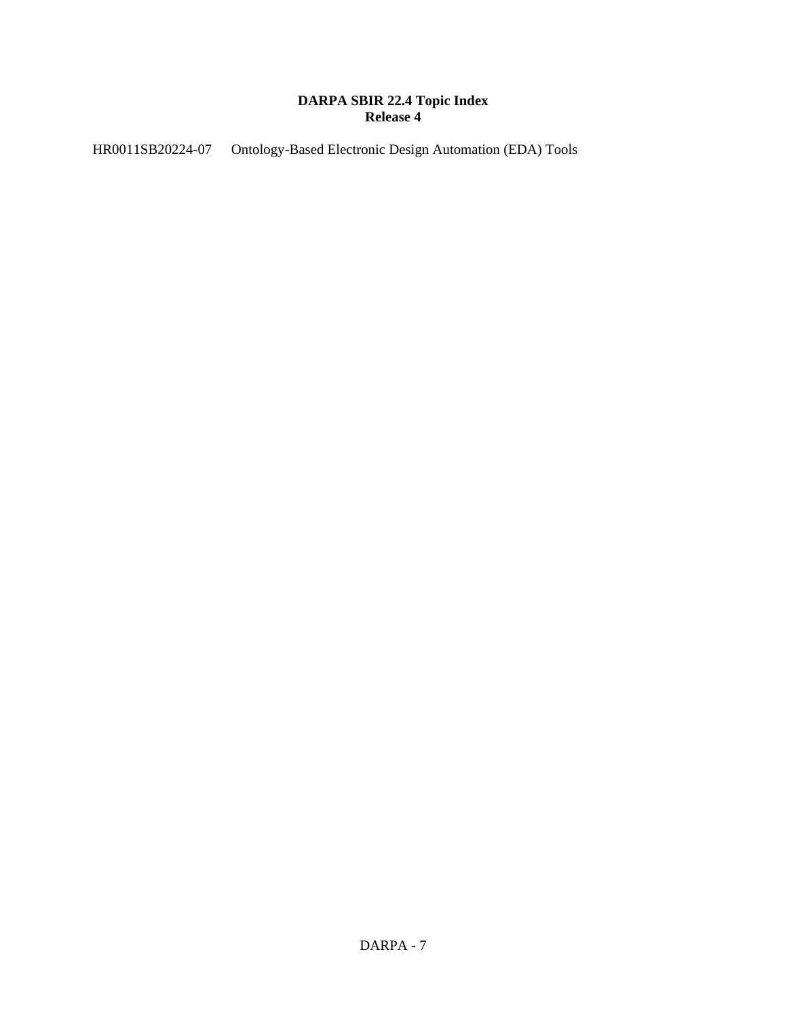# **DARPA SBIR 22.4 Topic Index Release 4**

HR0011SB20224-07 Ontology-Based Electronic Design Automation (EDA) Tools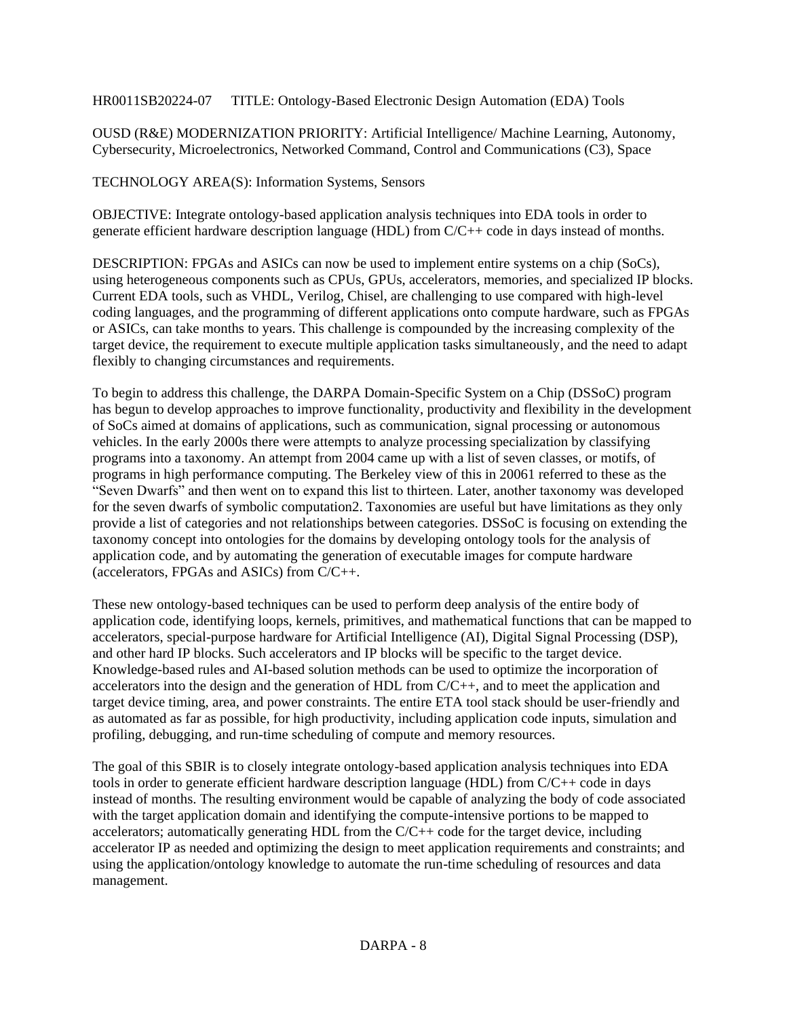HR0011SB20224-07 TITLE: Ontology-Based Electronic Design Automation (EDA) Tools

OUSD (R&E) MODERNIZATION PRIORITY: Artificial Intelligence/ Machine Learning, Autonomy, Cybersecurity, Microelectronics, Networked Command, Control and Communications (C3), Space

TECHNOLOGY AREA(S): Information Systems, Sensors

OBJECTIVE: Integrate ontology-based application analysis techniques into EDA tools in order to generate efficient hardware description language (HDL) from C/C++ code in days instead of months.

DESCRIPTION: FPGAs and ASICs can now be used to implement entire systems on a chip (SoCs), using heterogeneous components such as CPUs, GPUs, accelerators, memories, and specialized IP blocks. Current EDA tools, such as VHDL, Verilog, Chisel, are challenging to use compared with high-level coding languages, and the programming of different applications onto compute hardware, such as FPGAs or ASICs, can take months to years. This challenge is compounded by the increasing complexity of the target device, the requirement to execute multiple application tasks simultaneously, and the need to adapt flexibly to changing circumstances and requirements.

To begin to address this challenge, the DARPA Domain-Specific System on a Chip (DSSoC) program has begun to develop approaches to improve functionality, productivity and flexibility in the development of SoCs aimed at domains of applications, such as communication, signal processing or autonomous vehicles. In the early 2000s there were attempts to analyze processing specialization by classifying programs into a taxonomy. An attempt from 2004 came up with a list of seven classes, or motifs, of programs in high performance computing. The Berkeley view of this in 20061 referred to these as the "Seven Dwarfs" and then went on to expand this list to thirteen. Later, another taxonomy was developed for the seven dwarfs of symbolic computation2. Taxonomies are useful but have limitations as they only provide a list of categories and not relationships between categories. DSSoC is focusing on extending the taxonomy concept into ontologies for the domains by developing ontology tools for the analysis of application code, and by automating the generation of executable images for compute hardware (accelerators, FPGAs and ASICs) from C/C++.

These new ontology-based techniques can be used to perform deep analysis of the entire body of application code, identifying loops, kernels, primitives, and mathematical functions that can be mapped to accelerators, special-purpose hardware for Artificial Intelligence (AI), Digital Signal Processing (DSP), and other hard IP blocks. Such accelerators and IP blocks will be specific to the target device. Knowledge-based rules and AI-based solution methods can be used to optimize the incorporation of accelerators into the design and the generation of HDL from C/C++, and to meet the application and target device timing, area, and power constraints. The entire ETA tool stack should be user-friendly and as automated as far as possible, for high productivity, including application code inputs, simulation and profiling, debugging, and run-time scheduling of compute and memory resources.

The goal of this SBIR is to closely integrate ontology-based application analysis techniques into EDA tools in order to generate efficient hardware description language (HDL) from C/C++ code in days instead of months. The resulting environment would be capable of analyzing the body of code associated with the target application domain and identifying the compute-intensive portions to be mapped to accelerators; automatically generating HDL from the  $C/C++$  code for the target device, including accelerator IP as needed and optimizing the design to meet application requirements and constraints; and using the application/ontology knowledge to automate the run-time scheduling of resources and data management.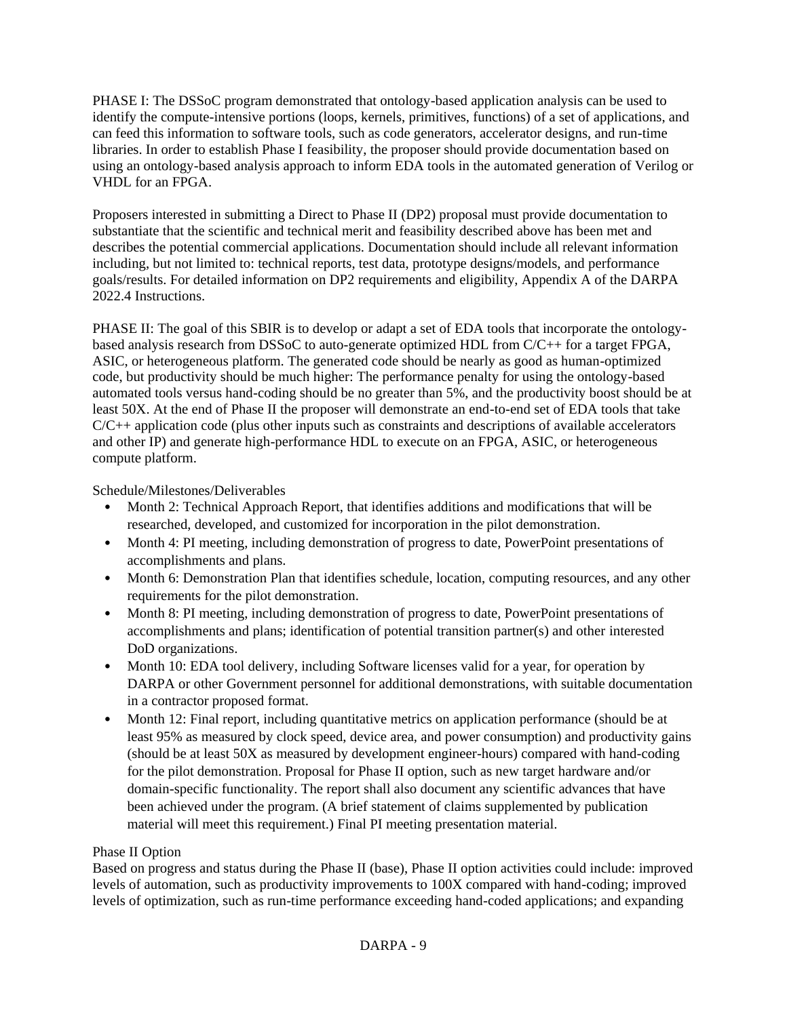PHASE I: The DSSoC program demonstrated that ontology-based application analysis can be used to identify the compute-intensive portions (loops, kernels, primitives, functions) of a set of applications, and can feed this information to software tools, such as code generators, accelerator designs, and run-time libraries. In order to establish Phase I feasibility, the proposer should provide documentation based on using an ontology-based analysis approach to inform EDA tools in the automated generation of Verilog or VHDL for an FPGA.

Proposers interested in submitting a Direct to Phase II (DP2) proposal must provide documentation to substantiate that the scientific and technical merit and feasibility described above has been met and describes the potential commercial applications. Documentation should include all relevant information including, but not limited to: technical reports, test data, prototype designs/models, and performance goals/results. For detailed information on DP2 requirements and eligibility, Appendix A of the DARPA 2022.4 Instructions.

PHASE II: The goal of this SBIR is to develop or adapt a set of EDA tools that incorporate the ontologybased analysis research from DSSoC to auto-generate optimized HDL from C/C++ for a target FPGA, ASIC, or heterogeneous platform. The generated code should be nearly as good as human-optimized code, but productivity should be much higher: The performance penalty for using the ontology-based automated tools versus hand-coding should be no greater than 5%, and the productivity boost should be at least 50X. At the end of Phase II the proposer will demonstrate an end-to-end set of EDA tools that take  $C/C++$  application code (plus other inputs such as constraints and descriptions of available accelerators and other IP) and generate high-performance HDL to execute on an FPGA, ASIC, or heterogeneous compute platform.

Schedule/Milestones/Deliverables

- Month 2: Technical Approach Report, that identifies additions and modifications that will be researched, developed, and customized for incorporation in the pilot demonstration.
- Month 4: PI meeting, including demonstration of progress to date, PowerPoint presentations of accomplishments and plans.
- Month 6: Demonstration Plan that identifies schedule, location, computing resources, and any other requirements for the pilot demonstration.
- Month 8: PI meeting, including demonstration of progress to date, PowerPoint presentations of accomplishments and plans; identification of potential transition partner(s) and other interested DoD organizations.
- Month 10: EDA tool delivery, including Software licenses valid for a year, for operation by DARPA or other Government personnel for additional demonstrations, with suitable documentation in a contractor proposed format.
- Month 12: Final report, including quantitative metrics on application performance (should be at least 95% as measured by clock speed, device area, and power consumption) and productivity gains (should be at least 50X as measured by development engineer-hours) compared with hand-coding for the pilot demonstration. Proposal for Phase II option, such as new target hardware and/or domain-specific functionality. The report shall also document any scientific advances that have been achieved under the program. (A brief statement of claims supplemented by publication material will meet this requirement.) Final PI meeting presentation material.

# Phase II Option

Based on progress and status during the Phase II (base), Phase II option activities could include: improved levels of automation, such as productivity improvements to 100X compared with hand-coding; improved levels of optimization, such as run-time performance exceeding hand-coded applications; and expanding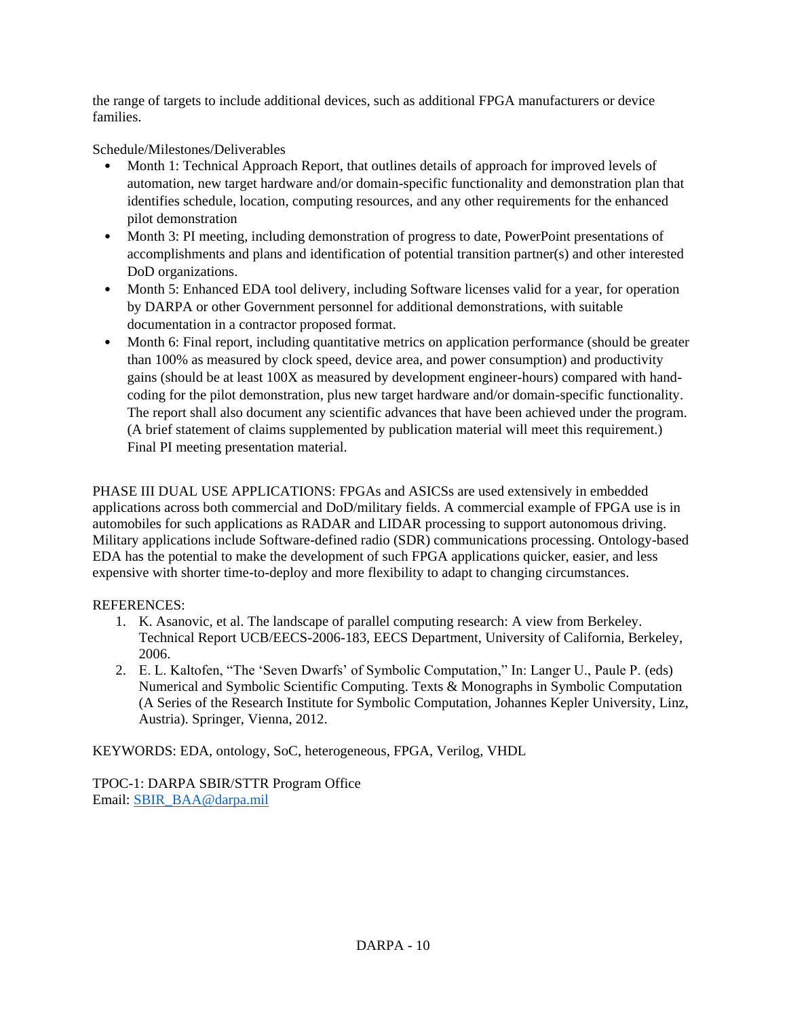the range of targets to include additional devices, such as additional FPGA manufacturers or device families.

# Schedule/Milestones/Deliverables

- Month 1: Technical Approach Report, that outlines details of approach for improved levels of automation, new target hardware and/or domain-specific functionality and demonstration plan that identifies schedule, location, computing resources, and any other requirements for the enhanced pilot demonstration
- Month 3: PI meeting, including demonstration of progress to date, PowerPoint presentations of accomplishments and plans and identification of potential transition partner(s) and other interested DoD organizations.
- Month 5: Enhanced EDA tool delivery, including Software licenses valid for a year, for operation by DARPA or other Government personnel for additional demonstrations, with suitable documentation in a contractor proposed format.
- Month 6: Final report, including quantitative metrics on application performance (should be greater than 100% as measured by clock speed, device area, and power consumption) and productivity gains (should be at least 100X as measured by development engineer-hours) compared with handcoding for the pilot demonstration, plus new target hardware and/or domain-specific functionality. The report shall also document any scientific advances that have been achieved under the program. (A brief statement of claims supplemented by publication material will meet this requirement.) Final PI meeting presentation material.

PHASE III DUAL USE APPLICATIONS: FPGAs and ASICSs are used extensively in embedded applications across both commercial and DoD/military fields. A commercial example of FPGA use is in automobiles for such applications as RADAR and LIDAR processing to support autonomous driving. Military applications include Software-defined radio (SDR) communications processing. Ontology-based EDA has the potential to make the development of such FPGA applications quicker, easier, and less expensive with shorter time-to-deploy and more flexibility to adapt to changing circumstances.

## REFERENCES:

- 1. K. Asanovic, et al. The landscape of parallel computing research: A view from Berkeley. Technical Report UCB/EECS-2006-183, EECS Department, University of California, Berkeley, 2006.
- 2. E. L. Kaltofen, "The 'Seven Dwarfs' of Symbolic Computation," In: Langer U., Paule P. (eds) Numerical and Symbolic Scientific Computing. Texts & Monographs in Symbolic Computation (A Series of the Research Institute for Symbolic Computation, Johannes Kepler University, Linz, Austria). Springer, Vienna, 2012.

KEYWORDS: EDA, ontology, SoC, heterogeneous, FPGA, Verilog, VHDL

TPOC-1: DARPA SBIR/STTR Program Office Email: [SBIR\\_BAA@darpa.mil](mailto:SBIR_BAA@darpa.mil)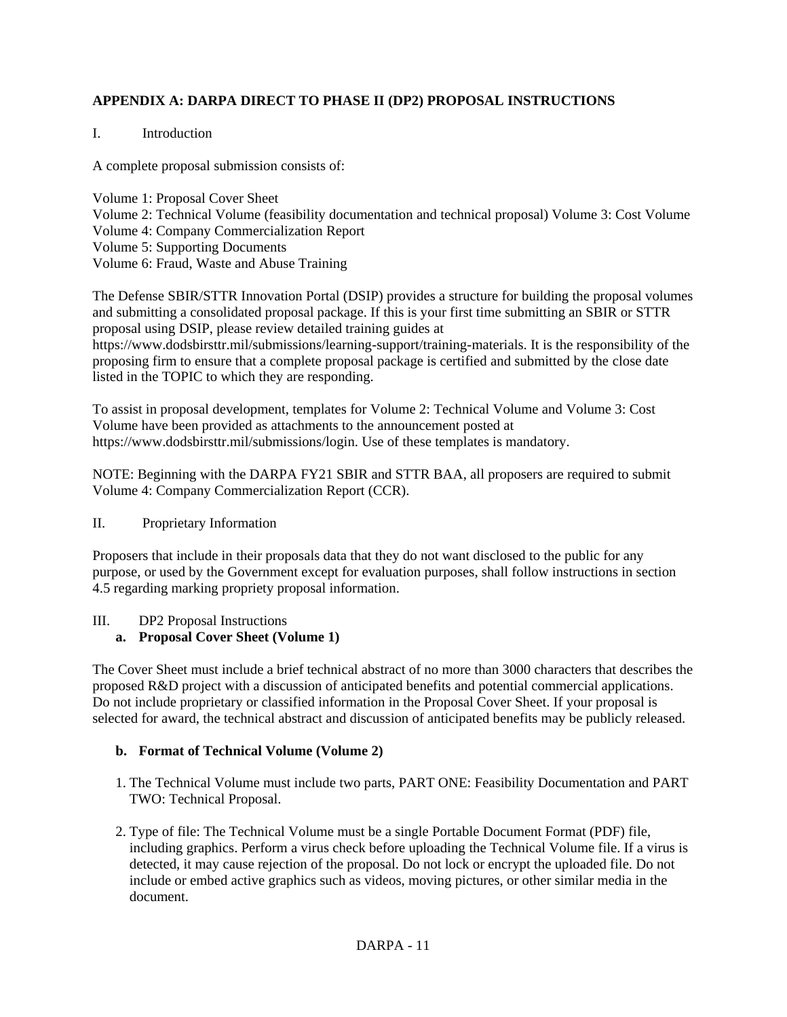## **APPENDIX A: DARPA DIRECT TO PHASE II (DP2) PROPOSAL INSTRUCTIONS**

### I. Introduction

A complete proposal submission consists of:

Volume 1: Proposal Cover Sheet Volume 2: Technical Volume (feasibility documentation and technical proposal) Volume 3: Cost Volume Volume 4: Company Commercialization Report Volume 5: Supporting Documents Volume 6: Fraud, Waste and Abuse Training

The Defense SBIR/STTR Innovation Portal (DSIP) provides a structure for building the proposal volumes and submitting a consolidated proposal package. If this is your first time submitting an SBIR or STTR proposal using DSIP, please review detailed training guides at

https://www.dodsbirsttr.mil/submissions/learning-support/training-materials. It is the responsibility of the proposing firm to ensure that a complete proposal package is certified and submitted by the close date listed in the TOPIC to which they are responding.

To assist in proposal development, templates for Volume 2: Technical Volume and Volume 3: Cost Volume have been provided as attachments to the announcement posted at https://www.dodsbirsttr.mil/submissions/login. Use of these templates is mandatory.

NOTE: Beginning with the DARPA FY21 SBIR and STTR BAA, all proposers are required to submit Volume 4: Company Commercialization Report (CCR).

### II. Proprietary Information

Proposers that include in their proposals data that they do not want disclosed to the public for any purpose, or used by the Government except for evaluation purposes, shall follow instructions in section 4.5 regarding marking propriety proposal information.

## III. DP2 Proposal Instructions

## **a. Proposal Cover Sheet (Volume 1)**

The Cover Sheet must include a brief technical abstract of no more than 3000 characters that describes the proposed R&D project with a discussion of anticipated benefits and potential commercial applications. Do not include proprietary or classified information in the Proposal Cover Sheet. If your proposal is selected for award, the technical abstract and discussion of anticipated benefits may be publicly released.

### **b. Format of Technical Volume (Volume 2)**

- 1. The Technical Volume must include two parts, PART ONE: Feasibility Documentation and PART TWO: Technical Proposal.
- 2. Type of file: The Technical Volume must be a single Portable Document Format (PDF) file, including graphics. Perform a virus check before uploading the Technical Volume file. If a virus is detected, it may cause rejection of the proposal. Do not lock or encrypt the uploaded file. Do not include or embed active graphics such as videos, moving pictures, or other similar media in the document.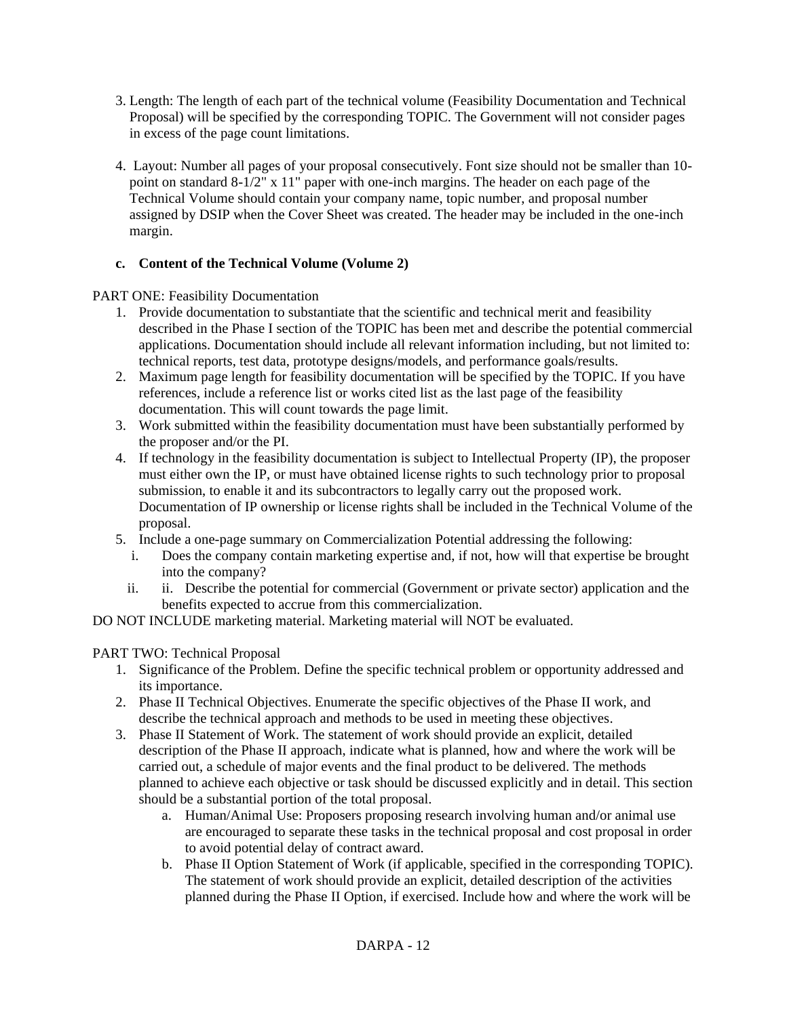- 3. Length: The length of each part of the technical volume (Feasibility Documentation and Technical Proposal) will be specified by the corresponding TOPIC. The Government will not consider pages in excess of the page count limitations.
- 4. Layout: Number all pages of your proposal consecutively. Font size should not be smaller than 10 point on standard  $8-1/2$ " x 11" paper with one-inch margins. The header on each page of the Technical Volume should contain your company name, topic number, and proposal number assigned by DSIP when the Cover Sheet was created. The header may be included in the one-inch margin.

## **c. Content of the Technical Volume (Volume 2)**

PART ONE: Feasibility Documentation

- 1. Provide documentation to substantiate that the scientific and technical merit and feasibility described in the Phase I section of the TOPIC has been met and describe the potential commercial applications. Documentation should include all relevant information including, but not limited to: technical reports, test data, prototype designs/models, and performance goals/results.
- 2. Maximum page length for feasibility documentation will be specified by the TOPIC. If you have references, include a reference list or works cited list as the last page of the feasibility documentation. This will count towards the page limit.
- 3. Work submitted within the feasibility documentation must have been substantially performed by the proposer and/or the PI.
- 4. If technology in the feasibility documentation is subject to Intellectual Property (IP), the proposer must either own the IP, or must have obtained license rights to such technology prior to proposal submission, to enable it and its subcontractors to legally carry out the proposed work. Documentation of IP ownership or license rights shall be included in the Technical Volume of the proposal.
- 5. Include a one-page summary on Commercialization Potential addressing the following:
	- i. Does the company contain marketing expertise and, if not, how will that expertise be brought into the company?
	- ii. ii. Describe the potential for commercial (Government or private sector) application and the benefits expected to accrue from this commercialization.

DO NOT INCLUDE marketing material. Marketing material will NOT be evaluated.

## PART TWO: Technical Proposal

- 1. Significance of the Problem. Define the specific technical problem or opportunity addressed and its importance.
- 2. Phase II Technical Objectives. Enumerate the specific objectives of the Phase II work, and describe the technical approach and methods to be used in meeting these objectives.
- 3. Phase II Statement of Work. The statement of work should provide an explicit, detailed description of the Phase II approach, indicate what is planned, how and where the work will be carried out, a schedule of major events and the final product to be delivered. The methods planned to achieve each objective or task should be discussed explicitly and in detail. This section should be a substantial portion of the total proposal.
	- a. Human/Animal Use: Proposers proposing research involving human and/or animal use are encouraged to separate these tasks in the technical proposal and cost proposal in order to avoid potential delay of contract award.
	- b. Phase II Option Statement of Work (if applicable, specified in the corresponding TOPIC). The statement of work should provide an explicit, detailed description of the activities planned during the Phase II Option, if exercised. Include how and where the work will be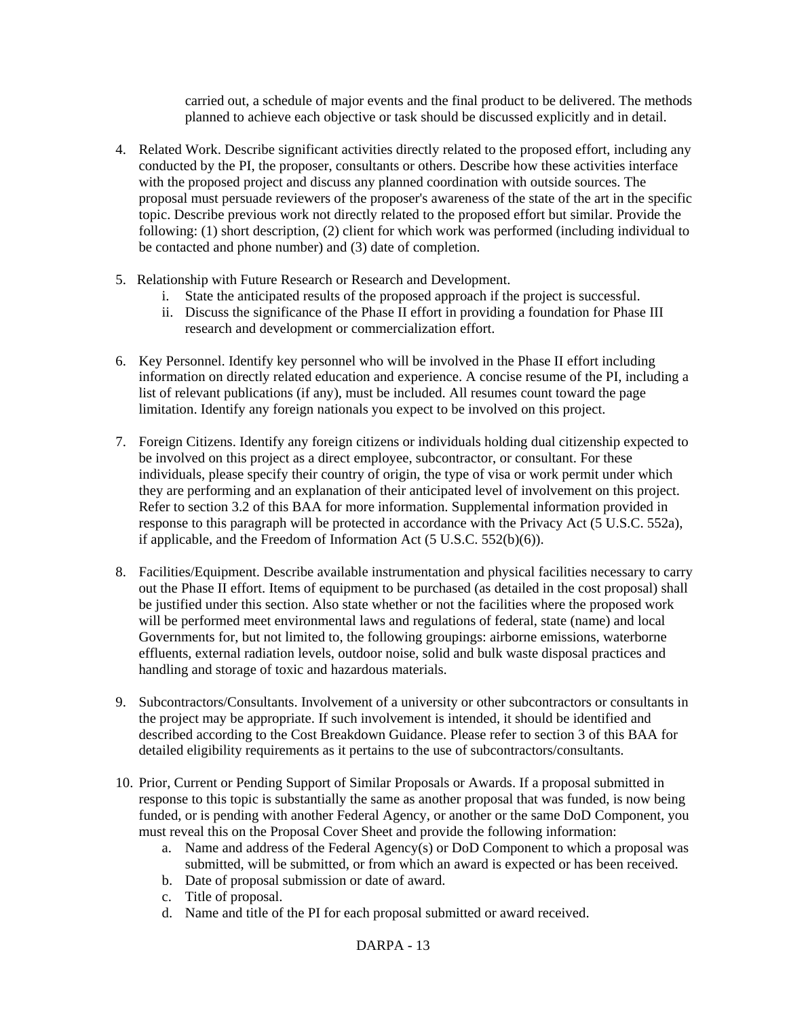carried out, a schedule of major events and the final product to be delivered. The methods planned to achieve each objective or task should be discussed explicitly and in detail.

- 4. Related Work. Describe significant activities directly related to the proposed effort, including any conducted by the PI, the proposer, consultants or others. Describe how these activities interface with the proposed project and discuss any planned coordination with outside sources. The proposal must persuade reviewers of the proposer's awareness of the state of the art in the specific topic. Describe previous work not directly related to the proposed effort but similar. Provide the following: (1) short description, (2) client for which work was performed (including individual to be contacted and phone number) and (3) date of completion.
- 5. Relationship with Future Research or Research and Development.
	- i. State the anticipated results of the proposed approach if the project is successful.
	- ii. Discuss the significance of the Phase II effort in providing a foundation for Phase III research and development or commercialization effort.
- 6. Key Personnel. Identify key personnel who will be involved in the Phase II effort including information on directly related education and experience. A concise resume of the PI, including a list of relevant publications (if any), must be included. All resumes count toward the page limitation. Identify any foreign nationals you expect to be involved on this project.
- 7. Foreign Citizens. Identify any foreign citizens or individuals holding dual citizenship expected to be involved on this project as a direct employee, subcontractor, or consultant. For these individuals, please specify their country of origin, the type of visa or work permit under which they are performing and an explanation of their anticipated level of involvement on this project. Refer to section 3.2 of this BAA for more information. Supplemental information provided in response to this paragraph will be protected in accordance with the Privacy Act (5 U.S.C. 552a), if applicable, and the Freedom of Information Act (5 U.S.C. 552(b)(6)).
- 8. Facilities/Equipment. Describe available instrumentation and physical facilities necessary to carry out the Phase II effort. Items of equipment to be purchased (as detailed in the cost proposal) shall be justified under this section. Also state whether or not the facilities where the proposed work will be performed meet environmental laws and regulations of federal, state (name) and local Governments for, but not limited to, the following groupings: airborne emissions, waterborne effluents, external radiation levels, outdoor noise, solid and bulk waste disposal practices and handling and storage of toxic and hazardous materials.
- 9. Subcontractors/Consultants. Involvement of a university or other subcontractors or consultants in the project may be appropriate. If such involvement is intended, it should be identified and described according to the Cost Breakdown Guidance. Please refer to section 3 of this BAA for detailed eligibility requirements as it pertains to the use of subcontractors/consultants.
- 10. Prior, Current or Pending Support of Similar Proposals or Awards. If a proposal submitted in response to this topic is substantially the same as another proposal that was funded, is now being funded, or is pending with another Federal Agency, or another or the same DoD Component, you must reveal this on the Proposal Cover Sheet and provide the following information:
	- a. Name and address of the Federal Agency(s) or DoD Component to which a proposal was submitted, will be submitted, or from which an award is expected or has been received.
	- b. Date of proposal submission or date of award.
	- c. Title of proposal.
	- d. Name and title of the PI for each proposal submitted or award received.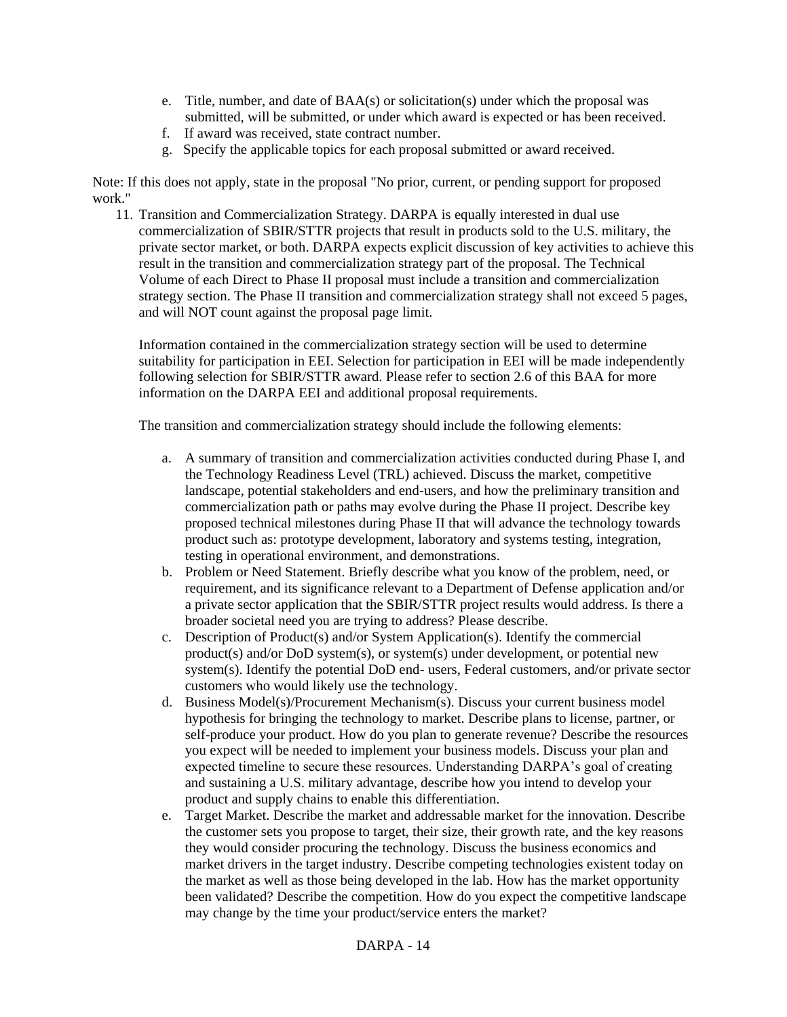- e. Title, number, and date of BAA(s) or solicitation(s) under which the proposal was submitted, will be submitted, or under which award is expected or has been received.
- f. If award was received, state contract number.
- g. Specify the applicable topics for each proposal submitted or award received.

Note: If this does not apply, state in the proposal "No prior, current, or pending support for proposed work."

11. Transition and Commercialization Strategy. DARPA is equally interested in dual use commercialization of SBIR/STTR projects that result in products sold to the U.S. military, the private sector market, or both. DARPA expects explicit discussion of key activities to achieve this result in the transition and commercialization strategy part of the proposal. The Technical Volume of each Direct to Phase II proposal must include a transition and commercialization strategy section. The Phase II transition and commercialization strategy shall not exceed 5 pages, and will NOT count against the proposal page limit.

Information contained in the commercialization strategy section will be used to determine suitability for participation in EEI. Selection for participation in EEI will be made independently following selection for SBIR/STTR award. Please refer to section 2.6 of this BAA for more information on the DARPA EEI and additional proposal requirements.

The transition and commercialization strategy should include the following elements:

- a. A summary of transition and commercialization activities conducted during Phase I, and the Technology Readiness Level (TRL) achieved. Discuss the market, competitive landscape, potential stakeholders and end-users, and how the preliminary transition and commercialization path or paths may evolve during the Phase II project. Describe key proposed technical milestones during Phase II that will advance the technology towards product such as: prototype development, laboratory and systems testing, integration, testing in operational environment, and demonstrations.
- b. Problem or Need Statement. Briefly describe what you know of the problem, need, or requirement, and its significance relevant to a Department of Defense application and/or a private sector application that the SBIR/STTR project results would address. Is there a broader societal need you are trying to address? Please describe.
- c. Description of Product(s) and/or System Application(s). Identify the commercial product(s) and/or DoD system(s), or system(s) under development, or potential new system(s). Identify the potential DoD end- users, Federal customers, and/or private sector customers who would likely use the technology.
- d. Business Model(s)/Procurement Mechanism(s). Discuss your current business model hypothesis for bringing the technology to market. Describe plans to license, partner, or self-produce your product. How do you plan to generate revenue? Describe the resources you expect will be needed to implement your business models. Discuss your plan and expected timeline to secure these resources. Understanding DARPA's goal of creating and sustaining a U.S. military advantage, describe how you intend to develop your product and supply chains to enable this differentiation.
- e. Target Market. Describe the market and addressable market for the innovation. Describe the customer sets you propose to target, their size, their growth rate, and the key reasons they would consider procuring the technology. Discuss the business economics and market drivers in the target industry. Describe competing technologies existent today on the market as well as those being developed in the lab. How has the market opportunity been validated? Describe the competition. How do you expect the competitive landscape may change by the time your product/service enters the market?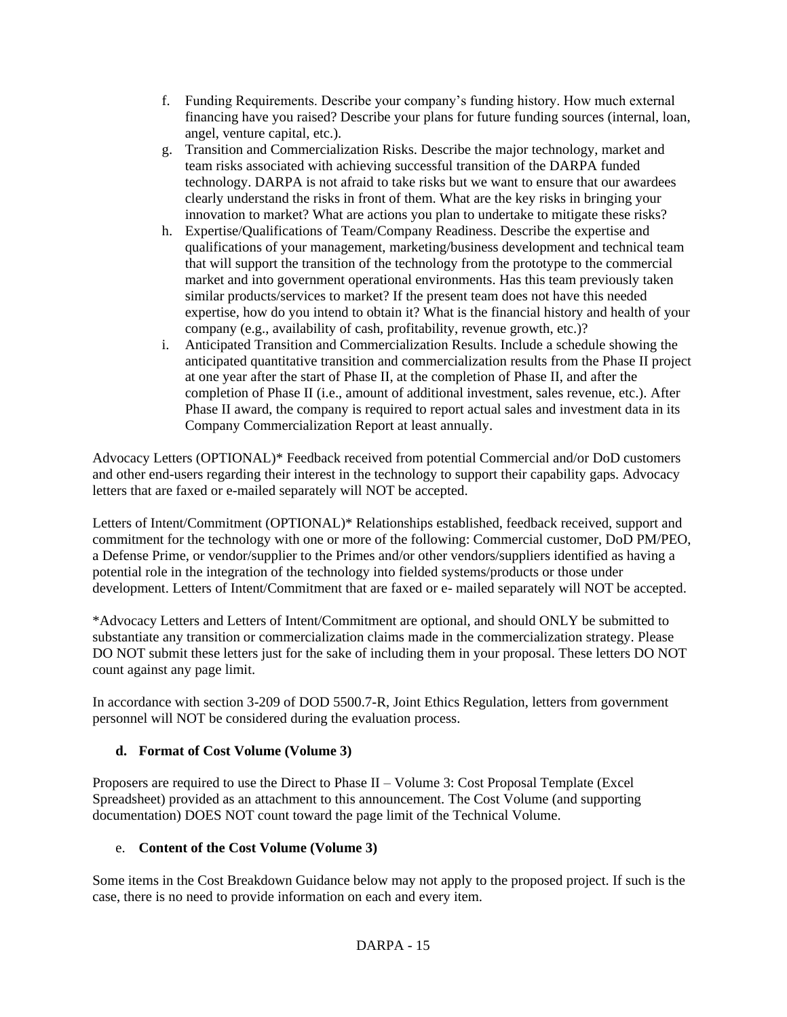- f. Funding Requirements. Describe your company's funding history. How much external financing have you raised? Describe your plans for future funding sources (internal, loan, angel, venture capital, etc.).
- g. Transition and Commercialization Risks. Describe the major technology, market and team risks associated with achieving successful transition of the DARPA funded technology. DARPA is not afraid to take risks but we want to ensure that our awardees clearly understand the risks in front of them. What are the key risks in bringing your innovation to market? What are actions you plan to undertake to mitigate these risks?
- h. Expertise/Qualifications of Team/Company Readiness. Describe the expertise and qualifications of your management, marketing/business development and technical team that will support the transition of the technology from the prototype to the commercial market and into government operational environments. Has this team previously taken similar products/services to market? If the present team does not have this needed expertise, how do you intend to obtain it? What is the financial history and health of your company (e.g., availability of cash, profitability, revenue growth, etc.)?
- i. Anticipated Transition and Commercialization Results. Include a schedule showing the anticipated quantitative transition and commercialization results from the Phase II project at one year after the start of Phase II, at the completion of Phase II, and after the completion of Phase II (i.e., amount of additional investment, sales revenue, etc.). After Phase II award, the company is required to report actual sales and investment data in its Company Commercialization Report at least annually.

Advocacy Letters (OPTIONAL)\* Feedback received from potential Commercial and/or DoD customers and other end-users regarding their interest in the technology to support their capability gaps. Advocacy letters that are faxed or e-mailed separately will NOT be accepted.

Letters of Intent/Commitment (OPTIONAL)\* Relationships established, feedback received, support and commitment for the technology with one or more of the following: Commercial customer, DoD PM/PEO, a Defense Prime, or vendor/supplier to the Primes and/or other vendors/suppliers identified as having a potential role in the integration of the technology into fielded systems/products or those under development. Letters of Intent/Commitment that are faxed or e- mailed separately will NOT be accepted.

\*Advocacy Letters and Letters of Intent/Commitment are optional, and should ONLY be submitted to substantiate any transition or commercialization claims made in the commercialization strategy. Please DO NOT submit these letters just for the sake of including them in your proposal. These letters DO NOT count against any page limit.

In accordance with section 3-209 of DOD 5500.7-R, Joint Ethics Regulation, letters from government personnel will NOT be considered during the evaluation process.

## **d. Format of Cost Volume (Volume 3)**

Proposers are required to use the Direct to Phase II – Volume 3: Cost Proposal Template (Excel Spreadsheet) provided as an attachment to this announcement. The Cost Volume (and supporting documentation) DOES NOT count toward the page limit of the Technical Volume.

## e. **Content of the Cost Volume (Volume 3)**

Some items in the Cost Breakdown Guidance below may not apply to the proposed project. If such is the case, there is no need to provide information on each and every item.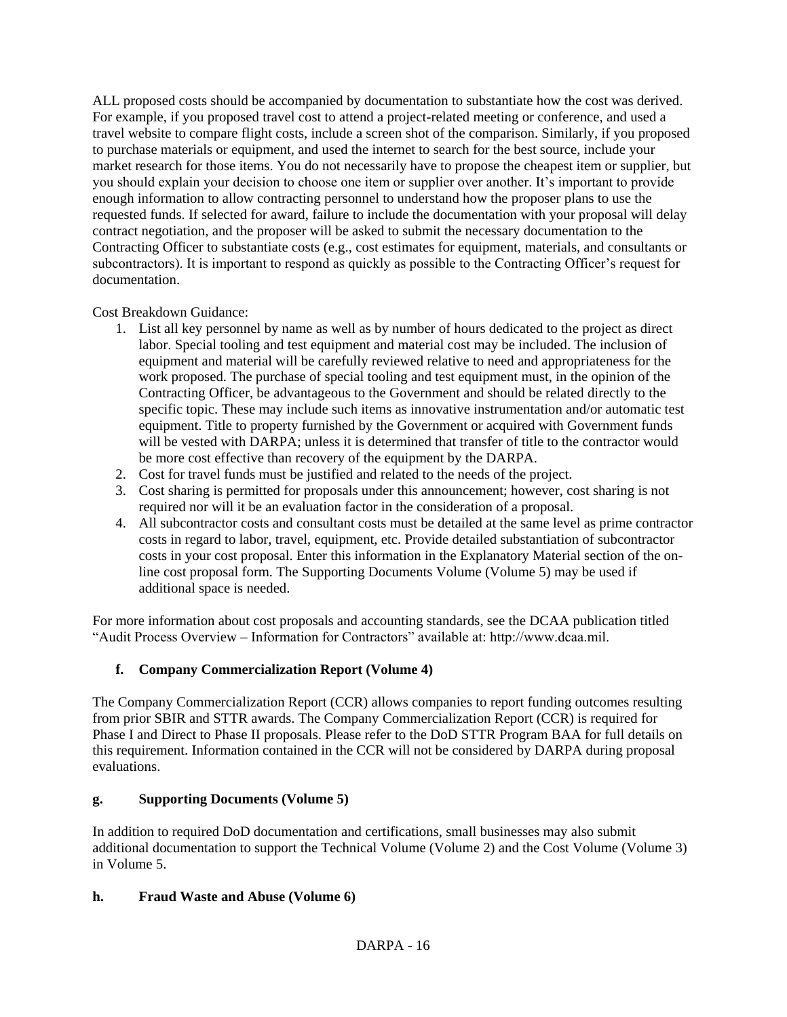ALL proposed costs should be accompanied by documentation to substantiate how the cost was derived. For example, if you proposed travel cost to attend a project-related meeting or conference, and used a travel website to compare flight costs, include a screen shot of the comparison. Similarly, if you proposed to purchase materials or equipment, and used the internet to search for the best source, include your market research for those items. You do not necessarily have to propose the cheapest item or supplier, but you should explain your decision to choose one item or supplier over another. It's important to provide enough information to allow contracting personnel to understand how the proposer plans to use the requested funds. If selected for award, failure to include the documentation with your proposal will delay contract negotiation, and the proposer will be asked to submit the necessary documentation to the Contracting Officer to substantiate costs (e.g., cost estimates for equipment, materials, and consultants or subcontractors). It is important to respond as quickly as possible to the Contracting Officer's request for documentation.

Cost Breakdown Guidance:

- 1. List all key personnel by name as well as by number of hours dedicated to the project as direct labor. Special tooling and test equipment and material cost may be included. The inclusion of equipment and material will be carefully reviewed relative to need and appropriateness for the work proposed. The purchase of special tooling and test equipment must, in the opinion of the Contracting Officer, be advantageous to the Government and should be related directly to the specific topic. These may include such items as innovative instrumentation and/or automatic test equipment. Title to property furnished by the Government or acquired with Government funds will be vested with DARPA; unless it is determined that transfer of title to the contractor would be more cost effective than recovery of the equipment by the DARPA.
- 2. Cost for travel funds must be justified and related to the needs of the project.
- 3. Cost sharing is permitted for proposals under this announcement; however, cost sharing is not required nor will it be an evaluation factor in the consideration of a proposal.
- 4. All subcontractor costs and consultant costs must be detailed at the same level as prime contractor costs in regard to labor, travel, equipment, etc. Provide detailed substantiation of subcontractor costs in your cost proposal. Enter this information in the Explanatory Material section of the online cost proposal form. The Supporting Documents Volume (Volume 5) may be used if additional space is needed.

For more information about cost proposals and accounting standards, see the DCAA publication titled "Audit Process Overview – Information for Contractors" available at: http://www.dcaa.mil.

# **f. Company Commercialization Report (Volume 4)**

The Company Commercialization Report (CCR) allows companies to report funding outcomes resulting from prior SBIR and STTR awards. The Company Commercialization Report (CCR) is required for Phase I and Direct to Phase II proposals. Please refer to the DoD STTR Program BAA for full details on this requirement. Information contained in the CCR will not be considered by DARPA during proposal evaluations.

# **g. Supporting Documents (Volume 5)**

In addition to required DoD documentation and certifications, small businesses may also submit additional documentation to support the Technical Volume (Volume 2) and the Cost Volume (Volume 3) in Volume 5.

# **h. Fraud Waste and Abuse (Volume 6)**